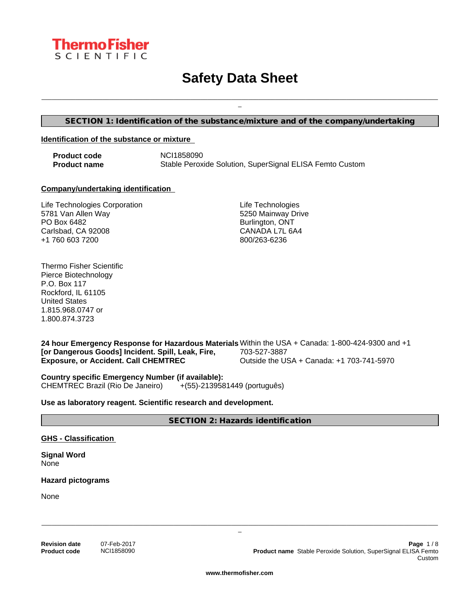

# **Safety Data Sheet**

**SECTION 1: Identification of the substance/mixture and of the company/undertaking**

#### **Identification of the substance or mixture**

**Product code** NCI1858090 **Product name** Stable Peroxide Solution, SuperSignal ELISA Femto Custom

#### **Company/undertaking identification**

Life Technologies Corporation 5781 Van Allen Way PO Box 6482 Carlsbad, CA 92008 +1 760 603 7200

Life Technologies 5250 Mainway Drive Burlington, ONT CANADA L7L 6A4 800/263-6236

\_\_\_\_\_\_\_\_\_\_\_\_\_\_\_\_\_\_\_\_\_\_\_\_\_\_\_\_\_\_\_\_\_\_\_\_\_\_\_\_\_\_\_\_\_\_\_\_\_\_\_\_\_\_\_\_\_\_\_\_\_\_\_\_\_\_\_\_\_\_\_\_\_\_\_\_\_\_\_\_\_\_\_\_\_\_\_\_\_\_\_\_\_\_\_\_\_\_\_\_\_\_\_\_\_\_\_\_\_\_\_\_\_\_\_\_\_ \_

Thermo Fisher Scientific Pierce Biotechnology P.O. Box 117 Rockford, IL 61105 United States 1.815.968.0747 or 1.800.874.3723

**24 hour Emergency Response for Hazardous Materials** Within the USA + Canada: 1-800-424-9300 and +1 **[or Dangerous Goods] Incident. Spill, Leak, Fire, Exposure, or Accident. Call CHEMTREC** 703-527-3887 Outside the USA + Canada: +1 703-741-5970

**Country specific Emergency Number (if available):** CHEMTREC Brazil (Rio De Janeiro) +(55)-2139581449 (português)

**Use as laboratory reagent. Scientific research and development.**

**SECTION 2: Hazards identification**

**GHS - Classification**

**Signal Word** None

**Hazard pictograms**

None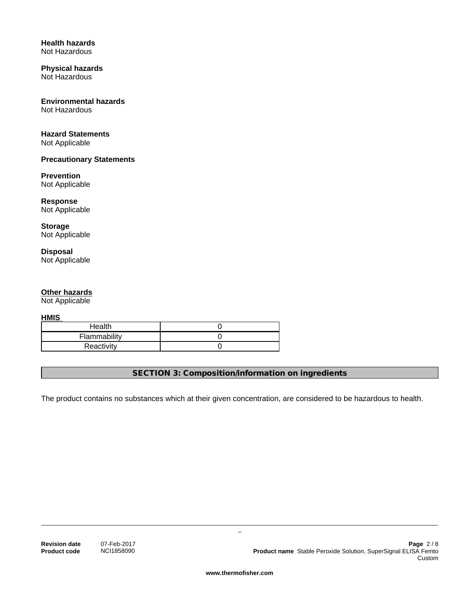#### **Health hazards** Not Hazardous

#### **Physical hazards** Not Hazardous

# **Environmental hazards**

Not Hazardous

# **Hazard Statements**

Not Applicable

# **Precautionary Statements**

# **Prevention**

Not Applicable

#### **Response** Not Applicable

**Storage** Not Applicable

# **Disposal** Not Applicable

# **Other hazards**

Not Applicable

**HMIS** 

| Health       |  |
|--------------|--|
| Flammability |  |
| Reactivity   |  |

**SECTION 3: Composition/information on ingredients**

The product contains no substances which at their given concentration, are considered to be hazardous to health.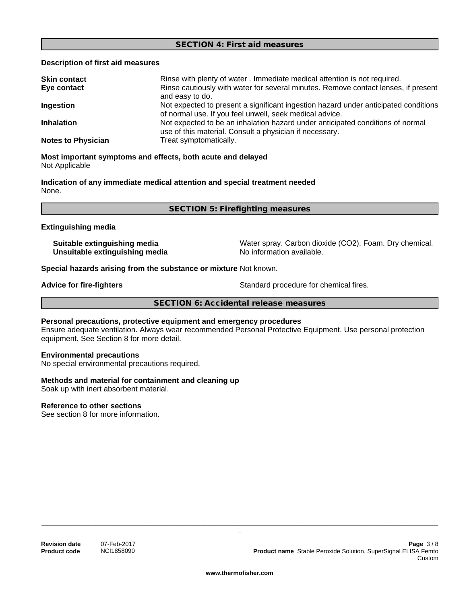#### **SECTION 4: First aid measures**

#### **Description of first aid measures**

| <b>Skin contact</b>       | Rinse with plenty of water . Immediate medical attention is not required.                                                                      |
|---------------------------|------------------------------------------------------------------------------------------------------------------------------------------------|
| Eye contact               | Rinse cautiously with water for several minutes. Remove contact lenses, if present<br>and easy to do.                                          |
| Ingestion                 | Not expected to present a significant ingestion hazard under anticipated conditions<br>of normal use. If you feel unwell, seek medical advice. |
| <b>Inhalation</b>         | Not expected to be an inhalation hazard under anticipated conditions of normal<br>use of this material. Consult a physician if necessary.      |
| <b>Notes to Physician</b> | Treat symptomatically.                                                                                                                         |

### **Most important symptoms and effects, both acute and delayed** Not Applicable

**Indication of any immediate medical attention and special treatment needed** None.

**SECTION 5: Firefighting measures**

#### **Extinguishing media**

**Unsuitable extinguishing media** No information available.

**Suitable extinguishing media** Water spray. Carbon dioxide (CO2). Foam. Dry chemical.

**Special hazards arising from the substance or mixture** Not known.

**Advice for fire-fighters**  $\qquad \qquad$  Standard procedure for chemical fires.

**SECTION 6: Accidental release measures**

## **Personal precautions, protective equipment and emergency procedures**

Ensure adequate ventilation. Always wear recommended Personal Protective Equipment.Use personal protection equipment. See Section 8 for more detail.

#### **Environmental precautions**

No special environmental precautions required.

#### **Methods and material for containment and cleaning up**

Soak up with inert absorbent material.

#### **Reference to other sections**

See section 8 for more information.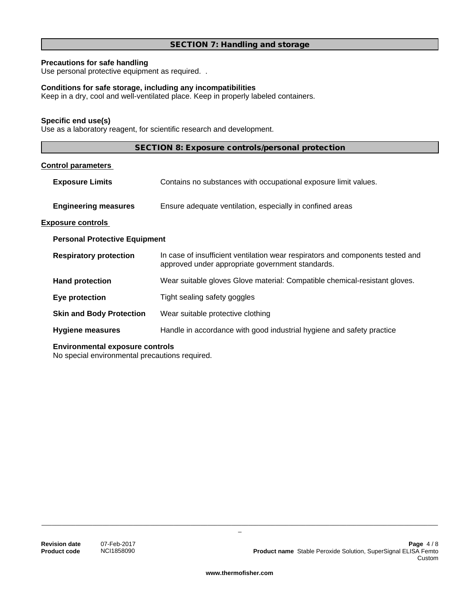# **SECTION 7: Handling and storage**

# **Precautions for safe handling**

Use personal protective equipment as required...

# **Conditions for safe storage, including any incompatibilities**

Keep in a dry, cool and well-ventilated place. Keep in properly labeled containers.

### **Specific end use(s)**

Use as a laboratory reagent, for scientific research and development.

| SECTION 8: Exposure controls/personal protection |  |
|--------------------------------------------------|--|
|--------------------------------------------------|--|

# **Control parameters**

|                                      | <b>Exposure Limits</b>          | Contains no substances with occupational exposure limit values.                                                                    |
|--------------------------------------|---------------------------------|------------------------------------------------------------------------------------------------------------------------------------|
|                                      | <b>Engineering measures</b>     | Ensure adequate ventilation, especially in confined areas                                                                          |
|                                      | <b>Exposure controls</b>        |                                                                                                                                    |
| <b>Personal Protective Equipment</b> |                                 |                                                                                                                                    |
|                                      | <b>Respiratory protection</b>   | In case of insufficient ventilation wear respirators and components tested and<br>approved under appropriate government standards. |
|                                      | <b>Hand protection</b>          | Wear suitable gloves Glove material: Compatible chemical-resistant gloves.                                                         |
|                                      | Eye protection                  | Tight sealing safety goggles                                                                                                       |
|                                      | <b>Skin and Body Protection</b> | Wear suitable protective clothing                                                                                                  |
|                                      | <b>Hygiene measures</b>         | Handle in accordance with good industrial hygiene and safety practice                                                              |
|                                      |                                 |                                                                                                                                    |

### **Environmental exposure controls**

No special environmental precautions required.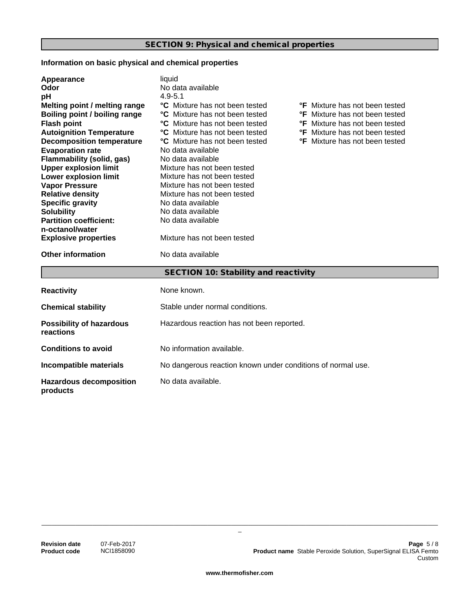# **Information on basic physical and chemical properties**

| Appearance                                   | liquid                                                      |                                       |  |
|----------------------------------------------|-------------------------------------------------------------|---------------------------------------|--|
| Odor                                         | No data available                                           |                                       |  |
| pH                                           | $4.9 - 5.1$                                                 |                                       |  |
| Melting point / melting range                | °C Mixture has not been tested                              | <b>°F</b> Mixture has not been tested |  |
| Boiling point / boiling range                | <b>C</b> Mixture has not been tested                        | <b>°F</b> Mixture has not been tested |  |
| <b>Flash point</b>                           | °C Mixture has not been tested                              | <b>°F</b> Mixture has not been tested |  |
| <b>Autoignition Temperature</b>              | <b>°C</b> Mixture has not been tested                       | <b>°F</b> Mixture has not been tested |  |
| <b>Decomposition temperature</b>             | °C Mixture has not been tested                              | <b>°F</b> Mixture has not been tested |  |
| <b>Evaporation rate</b>                      | No data available                                           |                                       |  |
| <b>Flammability (solid, gas)</b>             | No data available                                           |                                       |  |
| <b>Upper explosion limit</b>                 | Mixture has not been tested                                 |                                       |  |
| Lower explosion limit                        | Mixture has not been tested                                 |                                       |  |
| <b>Vapor Pressure</b>                        | Mixture has not been tested                                 |                                       |  |
| <b>Relative density</b>                      | Mixture has not been tested                                 |                                       |  |
| <b>Specific gravity</b>                      | No data available                                           |                                       |  |
| <b>Solubility</b>                            | No data available                                           |                                       |  |
| <b>Partition coefficient:</b>                | No data available                                           |                                       |  |
| n-octanol/water                              |                                                             |                                       |  |
| <b>Explosive properties</b>                  | Mixture has not been tested                                 |                                       |  |
| <b>Other information</b>                     | No data available                                           |                                       |  |
|                                              | SECTION 10: Stability and reactivity                        |                                       |  |
| <b>Reactivity</b>                            | None known.                                                 |                                       |  |
| <b>Chemical stability</b>                    | Stable under normal conditions.                             |                                       |  |
| <b>Possibility of hazardous</b><br>reactions | Hazardous reaction has not been reported.                   |                                       |  |
| <b>Conditions to avoid</b>                   | No information available.                                   |                                       |  |
| Incompatible materials                       | No dangerous reaction known under conditions of normal use. |                                       |  |
| <b>Hazardous decomposition</b><br>products   | No data available.                                          |                                       |  |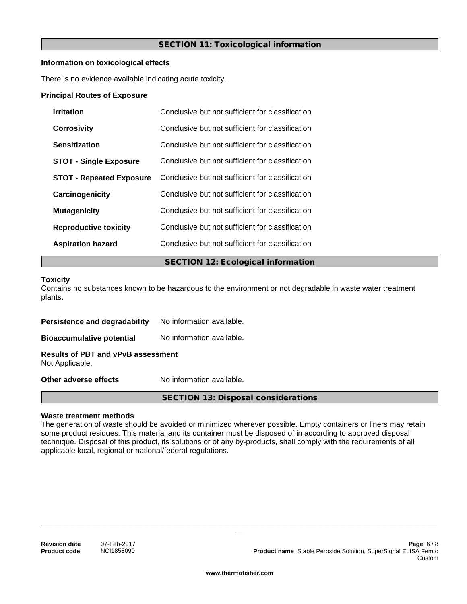# **SECTION 11: Toxicological information**

### **Information on toxicological effects**

There is no evidence available indicating acute toxicity.

#### **Principal Routes of Exposure**

| <b>Irritation</b>               | Conclusive but not sufficient for classification |  |
|---------------------------------|--------------------------------------------------|--|
| <b>Corrosivity</b>              | Conclusive but not sufficient for classification |  |
| Sensitization                   | Conclusive but not sufficient for classification |  |
| <b>STOT - Single Exposure</b>   | Conclusive but not sufficient for classification |  |
| <b>STOT - Repeated Exposure</b> | Conclusive but not sufficient for classification |  |
| Carcinogenicity                 | Conclusive but not sufficient for classification |  |
| <b>Mutagenicity</b>             | Conclusive but not sufficient for classification |  |
| <b>Reproductive toxicity</b>    | Conclusive but not sufficient for classification |  |
| <b>Aspiration hazard</b>        | Conclusive but not sufficient for classification |  |
|                                 | <b>SECTION 12: Ecological information</b>        |  |

#### **Toxicity**

Contains no substances known to be hazardous to the environment or not degradable in waste water treatment plants.

| Persistence and degradability                                | No information available. |
|--------------------------------------------------------------|---------------------------|
| <b>Bioaccumulative potential</b>                             | No information available. |
| <b>Results of PBT and vPvB assessment</b><br>Not Applicable. |                           |
| Other adverse effects                                        | No information available. |

**Waste treatment methods**

The generation of waste should be avoided or minimized wherever possible. Empty containers or liners may retain some product residues. This material and its container must be disposed of in according to approved disposal technique. Disposal of this product, its solutions or of any by-products, shall comply with the requirements of all applicable local, regional or national/federal regulations.

**SECTION 13: Disposal considerations**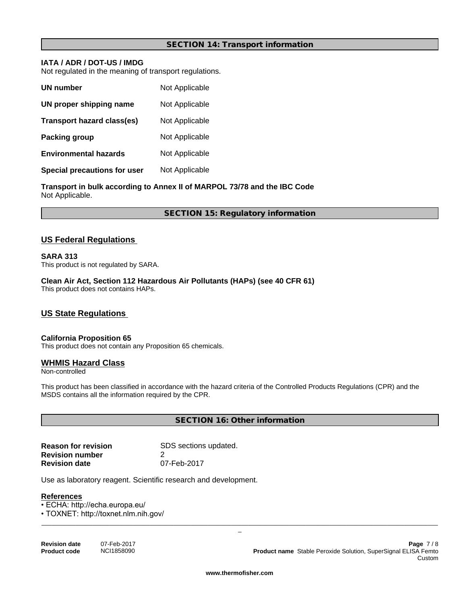### **SECTION 14: Transport information**

# **IATA / ADR / DOT-US / IMDG**

Not regulated in the meaning of transport regulations.

| UN number                    | Not Applicable |
|------------------------------|----------------|
| UN proper shipping name      | Not Applicable |
| Transport hazard class(es)   | Not Applicable |
| Packing group                | Not Applicable |
| <b>Environmental hazards</b> | Not Applicable |
| Special precautions for user | Not Applicable |

**Transport in bulk according to Annex II of MARPOL 73/78 and the IBC Code** Not Applicable.

**SECTION 15: Regulatory information**

# **US Federal Regulations**

#### **SARA 313**

This product is not regulated by SARA.

**Clean Air Act,Section 112 Hazardous Air Pollutants (HAPs) (see 40 CFR 61)** This product does not contains HAPs.

# **US State Regulations**

# **California Proposition 65**

This product does not contain any Proposition 65 chemicals.

#### **WHMIS Hazard Class**

Non-controlled

This product has been classified in accordance with the hazard criteria of the Controlled Products Regulations (CPR) and the MSDS contains all the information required by the CPR.

**SECTION 16: Other information**

| <b>Reason for revision</b> | SDS sections updated. |
|----------------------------|-----------------------|
| <b>Revision number</b>     |                       |
| <b>Revision date</b>       | 07-Feb-2017           |

Use as laboratory reagent. Scientific research and development.

#### **References**

• ECHA: http://echa.europa.eu/

• TOXNET: http://toxnet.nlm.nih.gov/

| <b>Revision date</b> | 07-Feb-2017 |
|----------------------|-------------|
| <b>Product code</b>  | NCI1858090  |